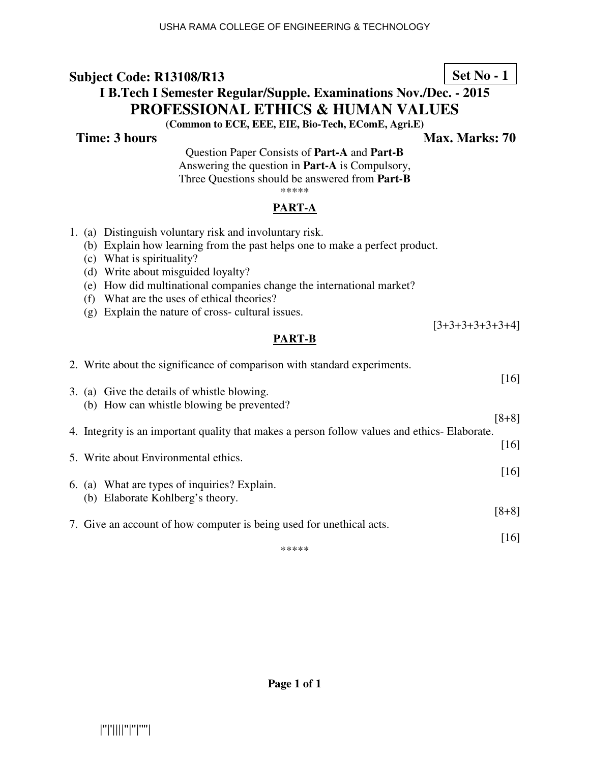#### **Subject Code: R13108/R13 I B.Tech I Semester Regular/Supple. Examinations Nov./Dec. - 2015 PROFESSIONAL ETHICS & HUMAN VALUES (Common to ECE, EEE, EIE, Bio-Tech, EComE, Agri.E) Set No - 1**

**Time: 3 hours** Max. Marks: 70

Question Paper Consists of **Part-A** and **Part-B** Answering the question in **Part-A** is Compulsory, Three Questions should be answered from **Part-B** \*\*\*\*\*

### **PART-A**

| 1. (a) Distinguish voluntary risk and involuntary risk.                                      |                   |
|----------------------------------------------------------------------------------------------|-------------------|
| (b) Explain how learning from the past helps one to make a perfect product.                  |                   |
| (c) What is spirituality?                                                                    |                   |
| (d) Write about misguided loyalty?                                                           |                   |
| (e) How did multinational companies change the international market?                         |                   |
| (f) What are the uses of ethical theories?                                                   |                   |
| (g) Explain the nature of cross-cultural issues.                                             | $[3+3+3+3+3+3+4]$ |
| <b>PART-B</b>                                                                                |                   |
|                                                                                              |                   |
| 2. Write about the significance of comparison with standard experiments.                     |                   |
|                                                                                              | [16]              |
| 3. (a) Give the details of whistle blowing.                                                  |                   |
| (b) How can whistle blowing be prevented?                                                    | $[8+8]$           |
| 4. Integrity is an important quality that makes a person follow values and ethics-Elaborate. |                   |
|                                                                                              | $[16]$            |
| 5. Write about Environmental ethics.                                                         |                   |
|                                                                                              | $[16]$            |
| 6. (a) What are types of inquiries? Explain.                                                 |                   |
| (b) Elaborate Kohlberg's theory.                                                             |                   |
|                                                                                              | $[8+8]$           |
| 7. Give an account of how computer is being used for unethical acts.                         | [16]              |
| *****                                                                                        |                   |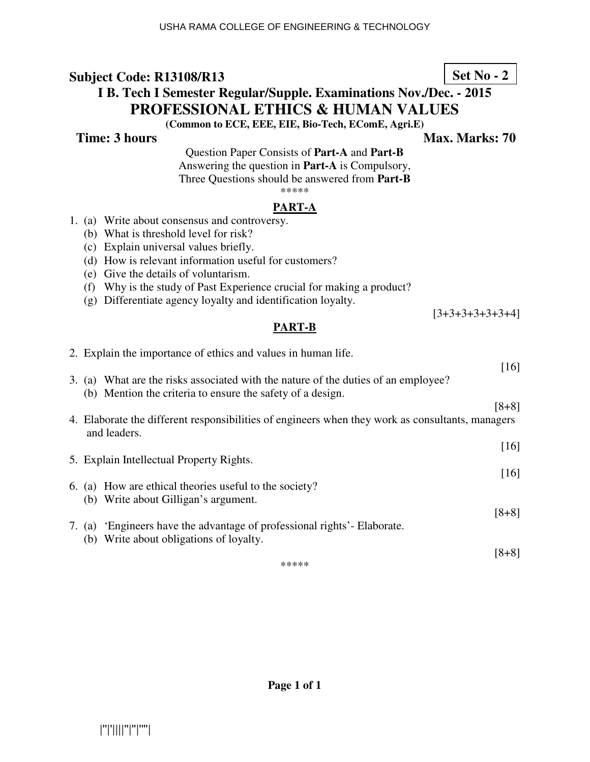# **Subject Code: R13108/R13 I B. Tech I Semester Regular/Supple. Examinations Nov./Dec. - 2015 PROFESSIONAL ETHICS & HUMAN VALUES**

**(Common to ECE, EEE, EIE, Bio-Tech, EComE, Agri.E)** 

**Time: 3 hours** Max. Marks: 70

Question Paper Consists of **Part-A** and **Part-B** Answering the question in **Part-A** is Compulsory, Three Questions should be answered from **Part-B** \*\*\*\*\*

#### **PART-A**

- 1. (a) Write about consensus and controversy.
	- (b) What is threshold level for risk?
	- (c) Explain universal values briefly.
	- (d) How is relevant information useful for customers?
	- (e) Give the details of voluntarism.
	- (f) Why is the study of Past Experience crucial for making a product?
	- (g) Differentiate agency loyalty and identification loyalty.

[3+3+3+3+3+3+4]

#### **PART-B**

|       | 2. Explain the importance of ethics and values in human life.                                                                                    |                    |  |  |  |
|-------|--------------------------------------------------------------------------------------------------------------------------------------------------|--------------------|--|--|--|
|       |                                                                                                                                                  | $\lceil 16 \rceil$ |  |  |  |
|       | 3. (a) What are the risks associated with the nature of the duties of an employee?<br>(b) Mention the criteria to ensure the safety of a design. |                    |  |  |  |
|       |                                                                                                                                                  | $[8+8]$            |  |  |  |
|       | 4. Elaborate the different responsibilities of engineers when they work as consultants, managers<br>and leaders.                                 |                    |  |  |  |
|       |                                                                                                                                                  | [16]               |  |  |  |
|       | 5. Explain Intellectual Property Rights.                                                                                                         | $\lceil 16 \rceil$ |  |  |  |
|       | 6. (a) How are ethical theories useful to the society?                                                                                           |                    |  |  |  |
|       | (b) Write about Gilligan's argument.                                                                                                             |                    |  |  |  |
|       |                                                                                                                                                  | $[8+8]$            |  |  |  |
|       | 7. (a) Engineers have the advantage of professional rights'- Elaborate.                                                                          |                    |  |  |  |
|       | (b) Write about obligations of loyalty.                                                                                                          |                    |  |  |  |
|       |                                                                                                                                                  | $[8+8]$            |  |  |  |
| ***** |                                                                                                                                                  |                    |  |  |  |

**Set No - 2**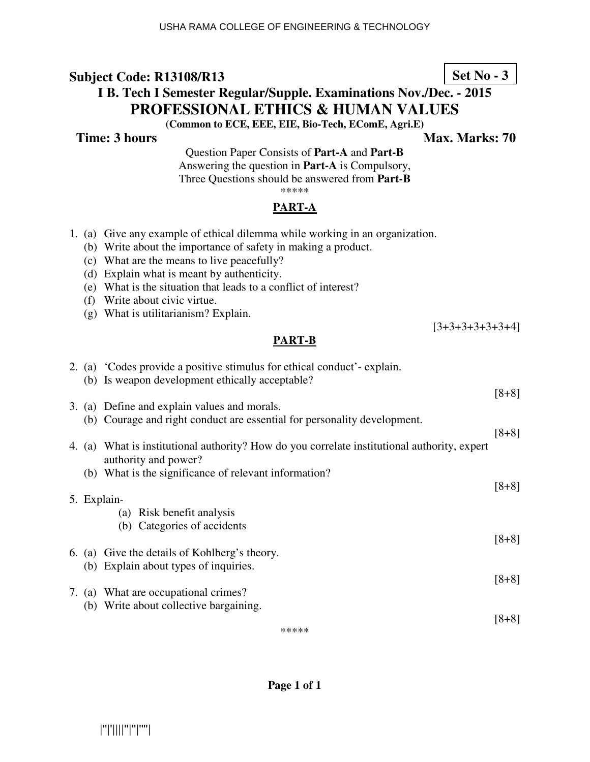## **Subject Code: R13108/R13 I B. Tech I Semester Regular/Supple. Examinations Nov./Dec. - 2015 PROFESSIONAL ETHICS & HUMAN VALUES (Common to ECE, EEE, EIE, Bio-Tech, EComE, Agri.E)**

**Time: 3 hours** Max. Marks: 70

[3+3+3+3+3+3+4]

Question Paper Consists of **Part-A** and **Part-B** Answering the question in **Part-A** is Compulsory, Three Questions should be answered from **Part-B** \*\*\*\*\*

### **PART-A**

- 1. (a) Give any example of ethical dilemma while working in an organization.
	- (b) Write about the importance of safety in making a product.
	- (c) What are the means to live peacefully?
	- (d) Explain what is meant by authenticity.
	- (e) What is the situation that leads to a conflict of interest?
	- (f) Write about civic virtue.
	- (g) What is utilitarianism? Explain.

### **PART-B**

|  | 2. (a) 'Codes provide a positive stimulus for ethical conduct'-explain.<br>(b) Is weapon development ethically acceptable? |         |
|--|----------------------------------------------------------------------------------------------------------------------------|---------|
|  |                                                                                                                            | $[8+8]$ |
|  | 3. (a) Define and explain values and morals.                                                                               |         |
|  | (b) Courage and right conduct are essential for personality development.                                                   |         |
|  |                                                                                                                            | $[8+8]$ |
|  | 4. (a) What is institutional authority? How do you correlate institutional authority, expert<br>authority and power?       |         |
|  | (b) What is the significance of relevant information?                                                                      |         |
|  |                                                                                                                            | $[8+8]$ |
|  | 5. Explain-                                                                                                                |         |
|  | (a) Risk benefit analysis                                                                                                  |         |
|  |                                                                                                                            |         |
|  | (b) Categories of accidents                                                                                                |         |
|  |                                                                                                                            | $[8+8]$ |
|  | 6. (a) Give the details of Kohlberg's theory.                                                                              |         |
|  | (b) Explain about types of inquiries.                                                                                      |         |
|  |                                                                                                                            | $[8+8]$ |
|  | 7. (a) What are occupational crimes?                                                                                       |         |
|  | (b) Write about collective bargaining.                                                                                     |         |
|  |                                                                                                                            | 18+81   |
|  |                                                                                                                            |         |

\*\*\*\*\*

### **Page 1 of 1**

|''|'||||''|''|''''|

# **Set No - 3**